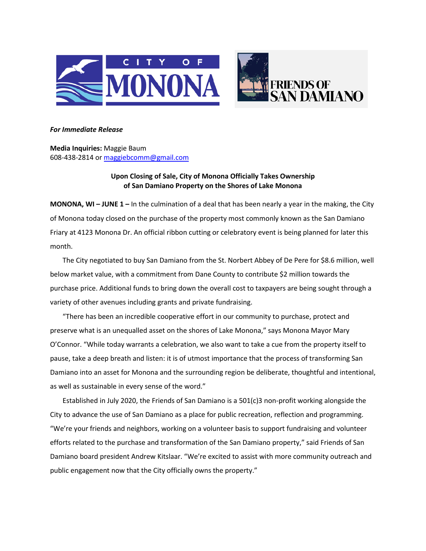

## *For Immediate Release*

**Media Inquiries:** Maggie Baum 608-438-2814 or [maggiebcomm@gmail.com](mailto:maggiebcomm@gmail.com)

## **Upon Closing of Sale, City of Monona Officially Takes Ownership of San Damiano Property on the Shores of Lake Monona**

**MONONA, WI – JUNE 1 –** In the culmination of a deal that has been nearly a year in the making, the City of Monona today closed on the purchase of the property most commonly known as the San Damiano Friary at 4123 Monona Dr. An official ribbon cutting or celebratory event is being planned for later this month.

The City negotiated to buy San Damiano from the St. Norbert Abbey of De Pere for \$8.6 million, well below market value, with a commitment from Dane County to contribute \$2 million towards the purchase price. Additional funds to bring down the overall cost to taxpayers are being sought through a variety of other avenues including grants and private fundraising.

"There has been an incredible cooperative effort in our community to purchase, protect and preserve what is an unequalled asset on the shores of Lake Monona," says Monona Mayor Mary O'Connor. "While today warrants a celebration, we also want to take a cue from the property itself to pause, take a deep breath and listen: it is of utmost importance that the process of transforming San Damiano into an asset for Monona and the surrounding region be deliberate, thoughtful and intentional, as well as sustainable in every sense of the word."

Established in July 2020, the Friends of San Damiano is a 501(c)3 non-profit working alongside the City to advance the use of San Damiano as a place for public recreation, reflection and programming. "We're your friends and neighbors, working on a volunteer basis to support fundraising and volunteer efforts related to the purchase and transformation of the San Damiano property," said Friends of San Damiano board president Andrew Kitslaar. "We're excited to assist with more community outreach and public engagement now that the City officially owns the property."